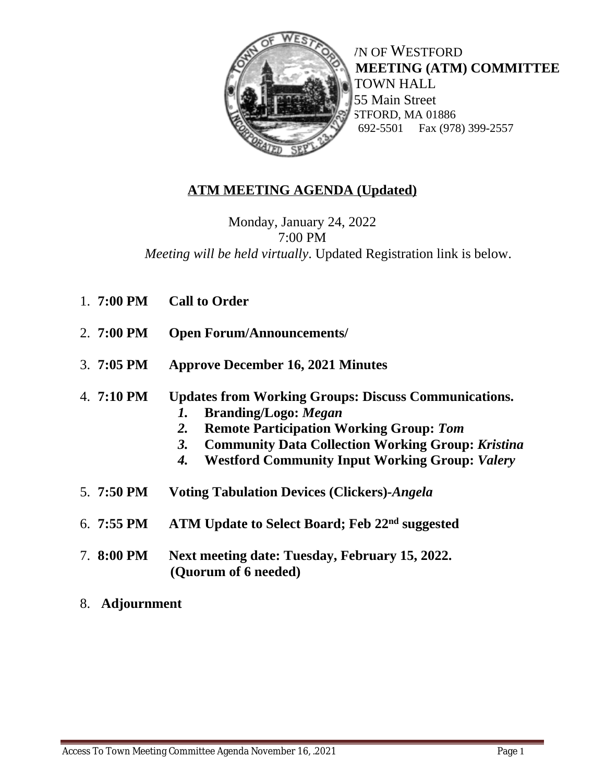

**NOF WESTFORD ACCESS TO TOWN MEETING (ATM) COMMITTEE**  TOWN HALL 55 Main Street STFORD, MA 01886<br>692-5501 Fax (978 Fax (978) 399-2557

## **ATM MEETING AGENDA (Updated)**

Monday, January 24, 2022 7:00 PM *Meeting will be held virtually*. Updated Registration link is below.

| 1. $7:00 \text{ PM}$ | <b>Call to Order</b>                                                                                                                                                                                                                                                                             |
|----------------------|--------------------------------------------------------------------------------------------------------------------------------------------------------------------------------------------------------------------------------------------------------------------------------------------------|
| 2. $7:00 \text{ PM}$ | <b>Open Forum/Announcements/</b>                                                                                                                                                                                                                                                                 |
| $3.7:05 \text{ PM}$  | <b>Approve December 16, 2021 Minutes</b>                                                                                                                                                                                                                                                         |
| 4. $7:10 \text{ PM}$ | <b>Updates from Working Groups: Discuss Communications.</b><br><b>Branding/Logo: Megan</b><br>1.<br><b>Remote Participation Working Group: Tom</b><br>2.<br><b>Community Data Collection Working Group: Kristina</b><br><b>3.</b><br><b>Westford Community Input Working Group: Valery</b><br>4. |
| 5. $7:50 \text{ PM}$ | <b>Voting Tabulation Devices (Clickers)-Angela</b>                                                                                                                                                                                                                                               |
| 6. $7:55 \text{ PM}$ | ATM Update to Select Board; Feb 22 <sup>nd</sup> suggested                                                                                                                                                                                                                                       |
| 7. $8:00 \text{ PM}$ | Next meeting date: Tuesday, February 15, 2022.<br>(Quorum of 6 needed)                                                                                                                                                                                                                           |

8. **Adjournment**